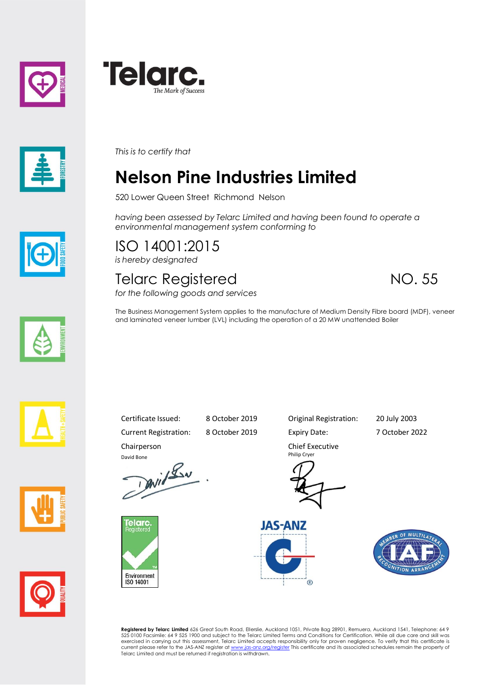





*This is to certify that*

## **Nelson Pine Industries Limited**

520 Lower Queen Street Richmond Nelson

*having been assessed by Telarc Limited and having been found to operate a environmental management system conforming to*

ISO 14001:2015 *is hereby designated*

## Telarc Registered NO. 55 *for the following goods and services*

The Business Management System applies to the manufacture of Medium Density Fibre board (MDF), veneer and laminated veneer lumber (LVL) including the operation of a 20 MW unattended Boiler









Current Registration: 8 October 2019 Expiry Date: 7 October 2022 Chairperson

David Bone<br>David Lav



Certificate Issued: 8 October 2019 Original Registration: 20 July 2003

Chief Executive Philip Cryer





**Registered by Telarc Limited** 626 Great South Road, Ellerslie, Auckland 1051, Private Bag 28901, Remuera, Auckland 1541, Telephone: 64 9<br>525 0100 Facsimile: 64 9 525 1900 and subject to the Telarc Limited Terms and Condit